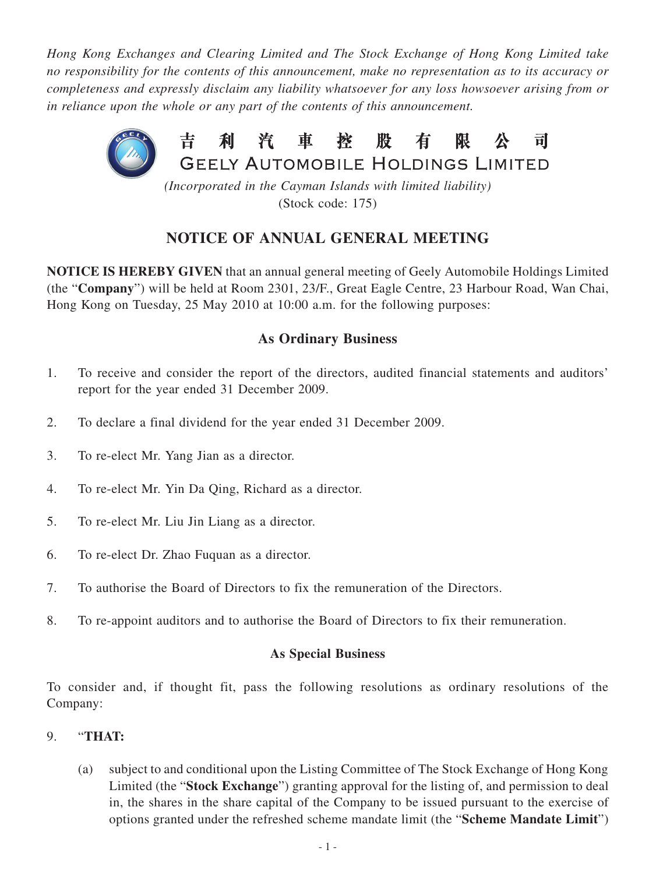*Hong Kong Exchanges and Clearing Limited and The Stock Exchange of Hong Kong Limited take no responsibility for the contents of this announcement, make no representation as to its accuracy or completeness and expressly disclaim any liability whatsoever for any loss howsoever arising from or in reliance upon the whole or any part of the contents of this announcement.*



(Stock code: 175)

# **NOTICE OF ANNUAL GENERAL MEETING**

**NOTICE IS HEREBY GIVEN** that an annual general meeting of Geely Automobile Holdings Limited (the "**Company**") will be held at Room 2301, 23/F., Great Eagle Centre, 23 Harbour Road, Wan Chai, Hong Kong on Tuesday, 25 May 2010 at 10:00 a.m. for the following purposes:

# **As Ordinary Business**

- 1. To receive and consider the report of the directors, audited financial statements and auditors' report for the year ended 31 December 2009.
- 2. To declare a final dividend for the year ended 31 December 2009.
- 3. To re-elect Mr. Yang Jian as a director.
- 4. To re-elect Mr. Yin Da Qing, Richard as a director.
- 5. To re-elect Mr. Liu Jin Liang as a director.
- 6. To re-elect Dr. Zhao Fuquan as a director.
- 7. To authorise the Board of Directors to fix the remuneration of the Directors.
- 8. To re-appoint auditors and to authorise the Board of Directors to fix their remuneration.

### **As Special Business**

To consider and, if thought fit, pass the following resolutions as ordinary resolutions of the Company:

#### 9. "**THAT:**

(a) subject to and conditional upon the Listing Committee of The Stock Exchange of Hong Kong Limited (the "**Stock Exchange**") granting approval for the listing of, and permission to deal in, the shares in the share capital of the Company to be issued pursuant to the exercise of options granted under the refreshed scheme mandate limit (the "**Scheme Mandate Limit**")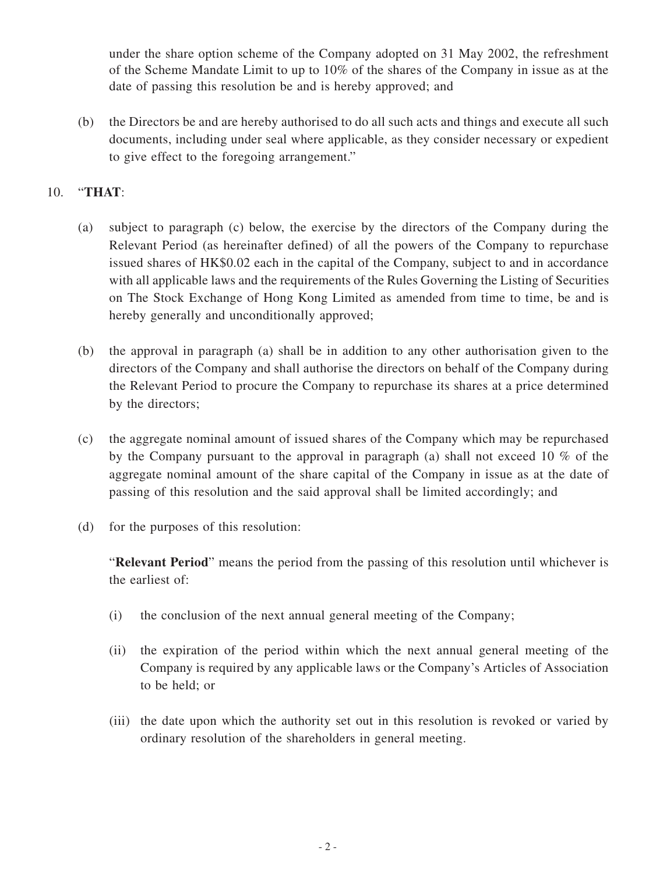under the share option scheme of the Company adopted on 31 May 2002, the refreshment of the Scheme Mandate Limit to up to 10% of the shares of the Company in issue as at the date of passing this resolution be and is hereby approved; and

(b) the Directors be and are hereby authorised to do all such acts and things and execute all such documents, including under seal where applicable, as they consider necessary or expedient to give effect to the foregoing arrangement."

### 10. "**THAT**:

- (a) subject to paragraph (c) below, the exercise by the directors of the Company during the Relevant Period (as hereinafter defined) of all the powers of the Company to repurchase issued shares of HK\$0.02 each in the capital of the Company, subject to and in accordance with all applicable laws and the requirements of the Rules Governing the Listing of Securities on The Stock Exchange of Hong Kong Limited as amended from time to time, be and is hereby generally and unconditionally approved;
- (b) the approval in paragraph (a) shall be in addition to any other authorisation given to the directors of the Company and shall authorise the directors on behalf of the Company during the Relevant Period to procure the Company to repurchase its shares at a price determined by the directors;
- (c) the aggregate nominal amount of issued shares of the Company which may be repurchased by the Company pursuant to the approval in paragraph (a) shall not exceed 10 % of the aggregate nominal amount of the share capital of the Company in issue as at the date of passing of this resolution and the said approval shall be limited accordingly; and
- (d) for the purposes of this resolution:

"**Relevant Period**" means the period from the passing of this resolution until whichever is the earliest of:

- (i) the conclusion of the next annual general meeting of the Company;
- (ii) the expiration of the period within which the next annual general meeting of the Company is required by any applicable laws or the Company's Articles of Association to be held; or
- (iii) the date upon which the authority set out in this resolution is revoked or varied by ordinary resolution of the shareholders in general meeting.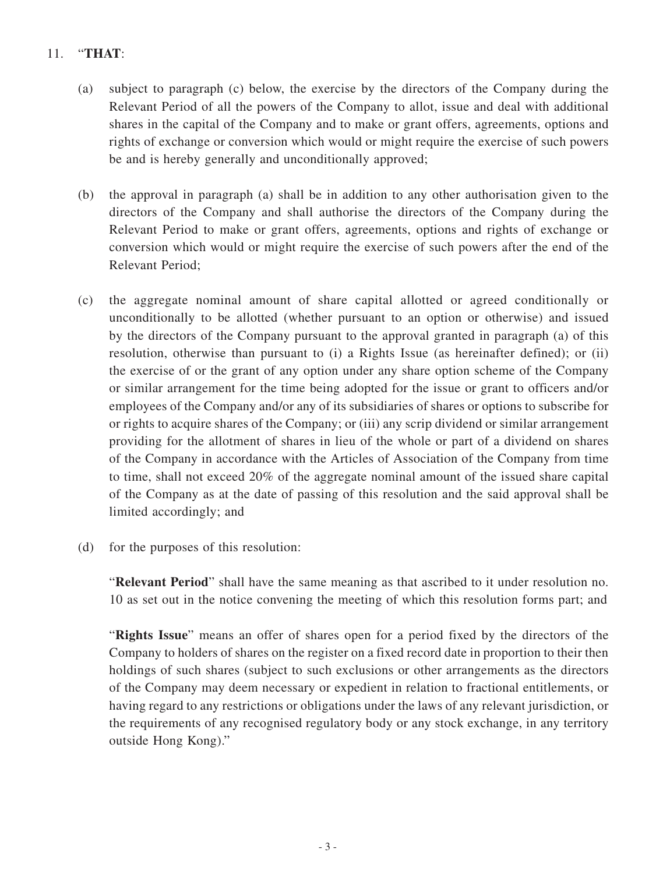# 11. "**THAT**:

- (a) subject to paragraph (c) below, the exercise by the directors of the Company during the Relevant Period of all the powers of the Company to allot, issue and deal with additional shares in the capital of the Company and to make or grant offers, agreements, options and rights of exchange or conversion which would or might require the exercise of such powers be and is hereby generally and unconditionally approved;
- (b) the approval in paragraph (a) shall be in addition to any other authorisation given to the directors of the Company and shall authorise the directors of the Company during the Relevant Period to make or grant offers, agreements, options and rights of exchange or conversion which would or might require the exercise of such powers after the end of the Relevant Period;
- (c) the aggregate nominal amount of share capital allotted or agreed conditionally or unconditionally to be allotted (whether pursuant to an option or otherwise) and issued by the directors of the Company pursuant to the approval granted in paragraph (a) of this resolution, otherwise than pursuant to (i) a Rights Issue (as hereinafter defined); or (ii) the exercise of or the grant of any option under any share option scheme of the Company or similar arrangement for the time being adopted for the issue or grant to officers and/or employees of the Company and/or any of its subsidiaries of shares or options to subscribe for or rights to acquire shares of the Company; or (iii) any scrip dividend or similar arrangement providing for the allotment of shares in lieu of the whole or part of a dividend on shares of the Company in accordance with the Articles of Association of the Company from time to time, shall not exceed 20% of the aggregate nominal amount of the issued share capital of the Company as at the date of passing of this resolution and the said approval shall be limited accordingly; and
- (d) for the purposes of this resolution:

"**Relevant Period**" shall have the same meaning as that ascribed to it under resolution no. 10 as set out in the notice convening the meeting of which this resolution forms part; and

"**Rights Issue**" means an offer of shares open for a period fixed by the directors of the Company to holders of shares on the register on a fixed record date in proportion to their then holdings of such shares (subject to such exclusions or other arrangements as the directors of the Company may deem necessary or expedient in relation to fractional entitlements, or having regard to any restrictions or obligations under the laws of any relevant jurisdiction, or the requirements of any recognised regulatory body or any stock exchange, in any territory outside Hong Kong)."